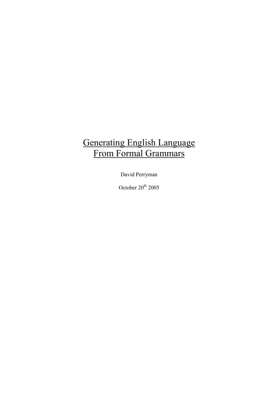# Generating English Language From Formal Grammars

David Perryman

October  $20^{th}$  2005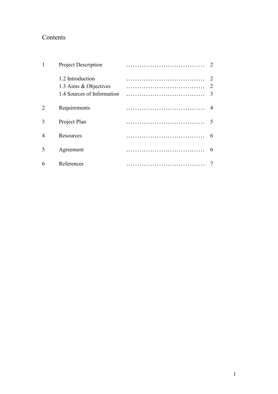# Contents

|   | <b>Project Description</b>                                              |                                             |
|---|-------------------------------------------------------------------------|---------------------------------------------|
|   | 1.2 Introduction<br>1.3 Aims & Objectives<br>1.4 Sources of Information | $\mathcal{D}_{\mathcal{L}}$<br>$\mathbf{3}$ |
| 2 | Requirements                                                            |                                             |
| 3 | Project Plan                                                            |                                             |
| 4 | Resources                                                               | 6                                           |
| 5 | Agreement                                                               | 6                                           |
| 6 | References                                                              |                                             |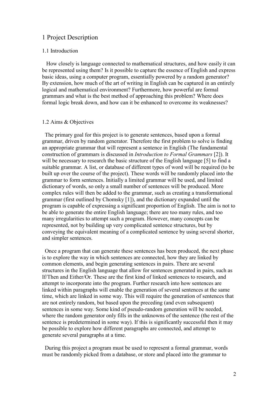## 1 Project Description

#### 1.1 Introduction

 How closely is language connected to mathematical structures, and how easily it can be represented using them? Is it possible to capture the essence of English and express basic ideas, using a computer program, essentially powered by a random generator? By extension, how much of the art of writing in English can be captured in an entirely logical and mathematical environment? Furthermore, how powerful are formal grammars and what is the best method of approaching this problem? Where does formal logic break down, and how can it be enhanced to overcome its weaknesses?

#### 1.2 Aims & Objectives

 The primary goal for this project is to generate sentences, based upon a formal grammar, driven by random generator. Therefore the first problem to solve is finding an appropriate grammar that will represent a sentence in English (The fundamental construction of grammars is discussed in Introduction to Formal Grammars [2]). It will be necessary to research the basic structure of the English language [5] to find a suitable grammar. A list, or database of different types of word will be required (to be built up over the course of the project). These words will be randomly placed into the grammar to form sentences. Initially a limited grammar will be used, and limited dictionary of words, so only a small number of sentences will be produced. More complex rules will then be added to the grammar, such as creating a transformational grammar (first outlined by Chomsky [1]), and the dictionary expanded until the program is capable of expressing a significant proportion of English. The aim is not to be able to generate the entire English language; there are too many rules, and too many irregularities to attempt such a program. However, many concepts can be represented, not by building up very complicated sentence structures, but by conveying the equivalent meaning of a complicated sentence by using several shorter, and simpler sentences.

 Once a program that can generate these sentences has been produced, the next phase is to explore the way in which sentences are connected, how they are linked by common elements, and begin generating sentences in pairs. There are several structures in the English language that allow for sentences generated in pairs, such as If/Then and Either/Or. These are the first kind of linked sentences to research, and attempt to incorporate into the program. Further research into how sentences are linked within paragraphs will enable the generation of several sentences at the same time, which are linked in some way. This will require the generation of sentences that are not entirely random, but based upon the preceding (and even subsequent) sentences in some way. Some kind of pseudo-random generation will be needed, where the random generator only fills in the unknowns of the sentence (the rest of the sentence is predetermined in some way). If this is significantly successful then it may be possible to explore how different paragraphs are connected, and attempt to generate several paragraphs at a time.

 During this project a program must be used to represent a formal grammar, words must be randomly picked from a database, or store and placed into the grammar to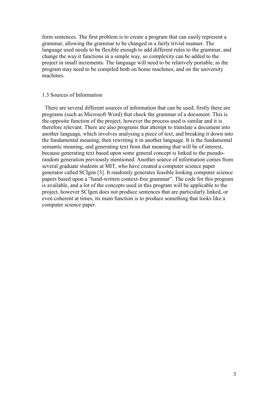form sentences. The first problem is to create a program that can easily represent a grammar, allowing the grammar to be changed in a fairly trivial manner. The language used needs to be flexible enough to add different rules to the grammar, and change the way it functions in a simple way, so complexity can be added to the project in small increments. The language will need to be relatively portable, as the program may need to be compiled both on home machines, and on the university machines.

#### 1.3 Sources of Information

 There are several different sources of information that can be used; firstly there are programs (such as Microsoft Word) that check the grammar of a document. This is the opposite function of the project, however the process used is similar and it is therefore relevant. There are also programs that attempt to translate a document into another language, which involves analysing a piece of text, and breaking it down into the fundamental meaning, then rewriting it in another language. It is the fundamental semantic meaning, and generating text from that meaning that will be of interest, because generating text based upon some general concept is linked to the pseudorandom generation previously mentioned. Another source of information comes from several graduate students at MIT, who have created a computer science paper generator called SCIgen [3]. It randomly generates feasible looking computer science papers based upon a "hand-written context-free grammar". The code for this program is available, and a lot of the concepts used in this program will be applicable to the project, however SCIgen does not produce sentences that are particularly linked, or even coherent at times, its main function is to produce something that looks like a computer science paper.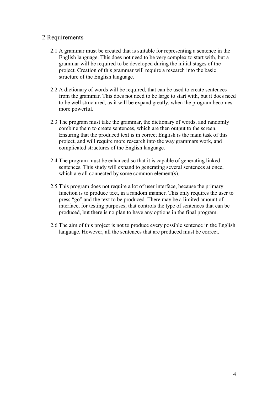# 2 Requirements

- 2.1 A grammar must be created that is suitable for representing a sentence in the English language. This does not need to be very complex to start with, but a grammar will be required to be developed during the initial stages of the project. Creation of this grammar will require a research into the basic structure of the English language.
- 2.2 A dictionary of words will be required, that can be used to create sentences from the grammar. This does not need to be large to start with, but it does need to be well structured, as it will be expand greatly, when the program becomes more powerful.
- 2.3 The program must take the grammar, the dictionary of words, and randomly combine them to create sentences, which are then output to the screen. Ensuring that the produced text is in correct English is the main task of this project, and will require more research into the way grammars work, and complicated structures of the English language.
- 2.4 The program must be enhanced so that it is capable of generating linked sentences. This study will expand to generating several sentences at once, which are all connected by some common element(s).
- 2.5 This program does not require a lot of user interface, because the primary function is to produce text, in a random manner. This only requires the user to press "go" and the text to be produced. There may be a limited amount of interface, for testing purposes, that controls the type of sentences that can be produced, but there is no plan to have any options in the final program.
- 2.6 The aim of this project is not to produce every possible sentence in the English language. However, all the sentences that are produced must be correct.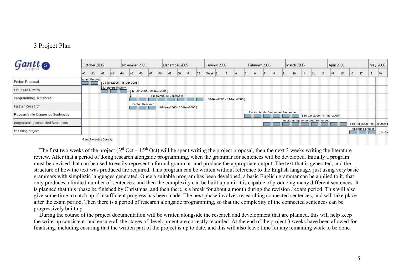# 3 Project Plan

| Gantt <sub>®</sub>                | October 2005 |                 |    |                                  |    | November 2005 |                               |     |    | December 2005                |    |    |    |      | January 2006 |  |                             |  |  | February 2006 |                                   | March 2006                      |    |    |    | April 2006                  |    | May 2006 |                    |    |                             |
|-----------------------------------|--------------|-----------------|----|----------------------------------|----|---------------|-------------------------------|-----|----|------------------------------|----|----|----|------|--------------|--|-----------------------------|--|--|---------------|-----------------------------------|---------------------------------|----|----|----|-----------------------------|----|----------|--------------------|----|-----------------------------|
|                                   | 40           | 42              | 42 | 43                               | 44 | 45            | 46                            | 147 | 48 | 49                           | 50 | 51 | 52 | Week | -12          |  |                             |  |  |               |                                   | 10                              | 11 | 12 | 13 | 14                          | 15 | 16       |                    | 18 | 19                          |
| <b>Project Proposal</b>           |              | roject Proposal |    | $-$ {03-Oct-2005 - 15-Oct-2005 ] |    |               |                               |     |    |                              |    |    |    |      |              |  |                             |  |  |               |                                   |                                 |    |    |    |                             |    |          |                    |    |                             |
| Literature Review                 |              |                 |    | Literature Review                |    |               | -{17-Oct-2005 - 05-Nov-2005 ] |     |    |                              |    |    |    |      |              |  |                             |  |  |               |                                   |                                 |    |    |    |                             |    |          |                    |    |                             |
| <b>Programming Sentences</b>      |              |                 |    |                                  |    |               |                               |     |    | <b>Programming Sentences</b> |    |    |    |      |              |  | [07-Nov-2005 - 31-Dec-2005] |  |  |               |                                   |                                 |    |    |    |                             |    |          |                    |    |                             |
| Further Research                  |              |                 |    |                                  |    |               | <b>Further Research</b>       |     |    | [07-Nov-2005 - 26-Nov-2005]  |    |    |    |      |              |  |                             |  |  |               |                                   |                                 |    |    |    |                             |    |          |                    |    |                             |
| Research into Connected Sentences |              |                 |    |                                  |    |               |                               |     |    |                              |    |    |    |      |              |  |                             |  |  |               | Research into Connected Sentences |                                 |    |    |    | [30-Jan-2006 - 11-Mar-2006] |    |          |                    |    |                             |
| programming connected Sentences   |              |                 |    |                                  |    |               |                               |     |    |                              |    |    |    |      |              |  |                             |  |  |               |                                   | programming connected Sentences |    |    |    |                             |    |          |                    |    | 13-Feb-2006 - 15-Apr-2006 ] |
| finalising project                |              |                 |    |                                  |    |               |                               |     |    |                              |    |    |    |      |              |  |                             |  |  |               |                                   |                                 |    |    |    |                             |    |          | finalising project |    | $[17-Ap]$                   |

#### GanttProject (2.0-pre1)

The first two weeks of the project ( $3<sup>rd</sup> Oct - 15<sup>th</sup> Oct$ ) will be spent writing the project proposal, then the next 3 weeks writing the literature review. After that a period of doing research alongside programming, when the grammar for sentences will be developed. Initially a program must be devised that can be used to easily represent a formal grammar, and produce the appropriate output. The text that is generated, and the structure of how the text was produced are required. This program can be written without reference to the English language, just using very basic grammars with simplistic languages generated. Once a suitable program has been developed, a basic English grammar can be applied to it, that only produces a limited number of sentences, and then the complexity can be built up until it is capable of producing many different sentences. It is planned that this phase be finished by Christmas, and then there is a break for about a month during the revision / exam period. This will also give some time to catch up if insufficient progress has been made. The next phase involves researching connected sentences, and will take place after the exam period. Then there is a period of research alongside programming, so that the complexity of the connected sentences can be progressively built up.

 During the course of the project documentation will be written alongside the research and development that are planned, this will help keep the write-up consistent, and ensure all the stages of development are correctly recorded. At the end of the project 3 weeks have been allowed for finalising, including ensuring that the written part of the project is up to date, and this will also leave time for any remaining work to be done.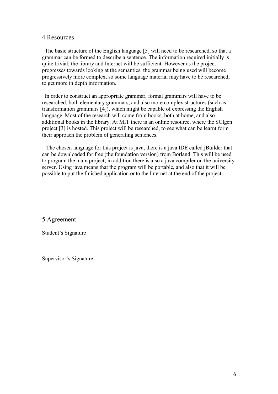## 4 Resources

 The basic structure of the English language [5] will need to be researched, so that a grammar can be formed to describe a sentence. The information required initially is quite trivial; the library and Internet will be sufficient. However as the project progresses towards looking at the semantics, the grammar being used will become progressively more complex, so some language material may have to be researched, to get more in depth information.

 In order to construct an appropriate grammar, formal grammars will have to be researched, both elementary grammars, and also more complex structures (such as transformation grammars [4]), which might be capable of expressing the English language. Most of the research will come from books, both at home, and also additional books in the library. At MIT there is an online resource, where the SCIgen project [3] is hosted. This project will be researched, to see what can be learnt form their approach the problem of generating sentences.

 The chosen language for this project is java, there is a java IDE called jBuilder that can be downloaded for free (the foundation version) from Borland. This will be used to program the main project; in addition there is also a java compiler on the university server. Using java means that the program will be portable, and also that it will be possible to put the finished application onto the Internet at the end of the project.

5 Agreement

Student's Signature

Supervisor's Signature